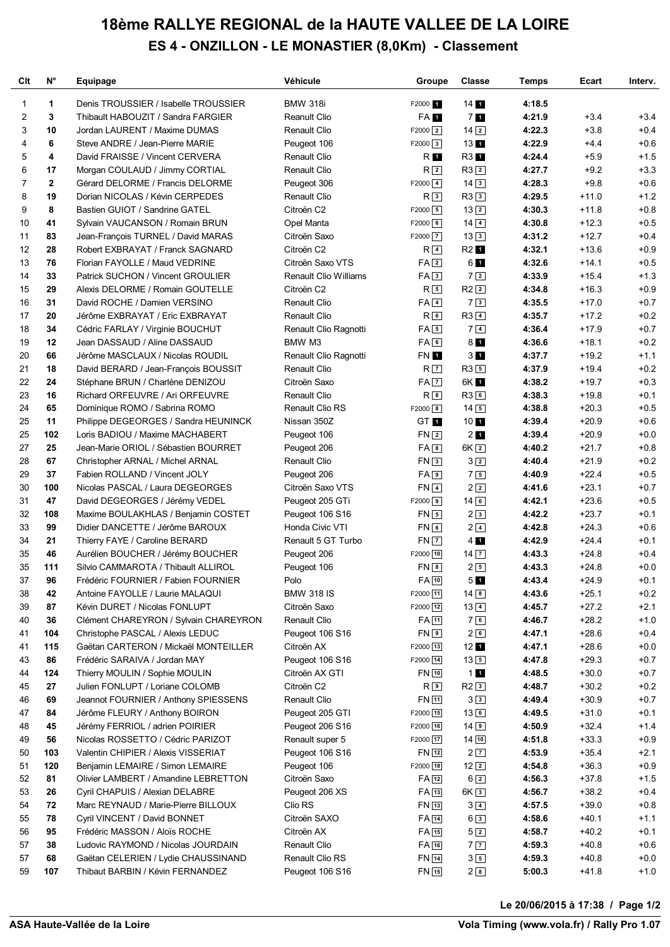## **18ème RALLYE REGIONAL de la HAUTE VALLEE DE LA LOIRE ES 4 - ONZILLON - LE MONASTIER (8,0Km) - Classement**

| Clt            | $N^{\circ}$    | Equipage                                                                  | Véhicule                               | Groupe               | <b>Classe</b>                 | Temps            | Ecart              | Interv.          |
|----------------|----------------|---------------------------------------------------------------------------|----------------------------------------|----------------------|-------------------------------|------------------|--------------------|------------------|
| 1              | 1              | Denis TROUSSIER / Isabelle TROUSSIER                                      | <b>BMW 318i</b>                        | F2000 1              | 14 <sub>1</sub>               | 4:18.5           |                    |                  |
| $\overline{2}$ | 3              | Thibault HABOUZIT / Sandra FARGIER                                        | <b>Reanult Clio</b>                    | FA 1                 | 7 <sub>1</sub>                | 4:21.9           | $+3.4$             | $+3.4$           |
| 3              | 10             | Jordan LAURENT / Maxime DUMAS                                             | <b>Renault Clio</b>                    | $F2000$ <sup>2</sup> | $14$ $2$                      | 4:22.3           | $+3.8$             | $+0.4$           |
| 4              | 6              | Steve ANDRE / Jean-Pierre MARIE                                           | Peugeot 106                            | $F2000$ 3            | 13 <sub>1</sub>               | 4:22.9           | $+4.4$             | $+0.6$           |
| 5              | 4              | David FRAISSE / Vincent CERVERA                                           | <b>Renault Clio</b>                    | R 1                  | R3 1                          | 4:24.4           | $+5.9$             | $+1.5$           |
| 6              | 17             | Morgan COULAUD / Jimmy CORTIAL                                            | <b>Renault Clio</b>                    | R <sub>2</sub>       | $R3$ <sup>2</sup>             | 4:27.7           | $+9.2$             | $+3.3$           |
| $\overline{7}$ | $\overline{2}$ | Gérard DELORME / Francis DELORME                                          | Peugeot 306                            | $F2000$ $4$          | $14\sqrt{3}$                  | 4:28.3           | $+9.8$             | $+0.6$           |
| 8              | 19             | Dorian NICOLAS / Kévin CERPEDES                                           | <b>Renault Clio</b>                    | R <sup>3</sup>       | $R3$ <sup>3</sup>             | 4:29.5           | $+11.0$            | $+1.2$           |
| 9              | 8              | Bastien GUIOT / Sandrine GATEL                                            | Citroën C2                             | $F2000$ 5            | $13\sqrt{2}$                  | 4:30.3           | $+11.8$            | $+0.8$           |
| 10             | 41             | Sylvain VAUCANSON / Romain BRUN                                           | Opel Manta                             | $F2000$ 6            | $14\sqrt{4}$                  | 4:30.8           | $+12.3$            | $+0.5$           |
| 11             | 83             | Jean-François TURNEL / David MARAS                                        | Citroën Saxo                           | F2000 7              | 133                           | 4:31.2           | $+12.7$            | $+0.4$           |
| 12             | 28             | Robert EXBRAYAT / Franck SAGNARD                                          | Citroën C2                             | R <sub>4</sub>       | R <sub>2</sub> 1              | 4:32.1           | $+13.6$            | $+0.9$           |
| 13             | 76             | Florian FAYOLLE / Maud VEDRINE                                            | Citroën Saxo VTS                       | FA <sub>2</sub>      | 61                            | 4:32.6           | $+14.1$            | $+0.5$           |
| 14             | 33             | Patrick SUCHON / Vincent GROULIER                                         | <b>Renault Clio Williams</b>           | FA3                  | 72                            | 4:33.9           | $+15.4$            | $+1.3$           |
| 15             | 29             | Alexis DELORME / Romain GOUTELLE                                          | Citroën C2                             | R <sub>5</sub>       | $R2$ <sup>2</sup>             | 4:34.8           | $+16.3$            | $+0.9$           |
| 16             | 31             | David ROCHE / Damien VERSINO                                              | <b>Renault Clio</b>                    | $FA$ 4               | 73                            | 4:35.5           | $+17.0$            | $+0.7$           |
| 17             | 20             | Jérôme EXBRAYAT / Eric EXBRAYAT                                           | <b>Renault Clio</b>                    | $R_{6}$              | $R3\sqrt{4}$                  | 4:35.7           | $+17.2$            | $+0.2$           |
| 18             | 34             | Cédric FARLAY / Virginie BOUCHUT                                          | Renault Clio Ragnotti                  | FA5                  | 7 <sup>4</sup>                | 4:36.4           | $+17.9$            | $+0.7$           |
| 19             | 12             | Jean DASSAUD / Aline DASSAUD                                              | BMW M3                                 | FA6                  | 8 <sub>1</sub>                | 4:36.6           | $+18.1$            | $+0.2$           |
| 20             | 66             | Jérôme MASCLAUX / Nicolas ROUDIL                                          | Renault Clio Ragnotti                  | <b>FN 1</b>          | 3 <sub>1</sub>                | 4:37.7           | $+19.2$            | $+1.1$           |
| 21             | 18             | David BERARD / Jean-François BOUSSIT                                      | <b>Renault Clio</b>                    | R <sub>7</sub>       | $R3$ 5                        | 4:37.9           | $+19.4$            | $+0.2$           |
| 22             | 24             | Stéphane BRUN / Charlène DENIZOU                                          | Citroën Saxo                           | $FA \overline{7}$    | 6K 1                          | 4:38.2           | $+19.7$            | $+0.3$           |
| 23             | 16             | Richard ORFEUVRE / Ari ORFEUVRE                                           | <b>Renault Clio</b>                    | $R^{8}$              | $R3$ <sup>6</sup>             | 4:38.3           | $+19.8$            | $+0.1$           |
| 24             | 65             | Dominique ROMO / Sabrina ROMO                                             | Renault Clio RS                        | $F2000$ 8            | $14\overline{5}$              | 4:38.8           | $+20.3$            | $+0.5$           |
| 25             | 11             | Philippe DEGEORGES / Sandra HEUNINCK                                      | Nissan 350Z                            | GT <sub>1</sub>      | 10 <sub>1</sub>               | 4:39.4           | $+20.9$            | $+0.6$           |
| 25             | 102            | Loris BADIOU / Maxime MACHABERT                                           | Peugeot 106                            | FN <sub>2</sub>      | 2 <sub>1</sub>                | 4:39.4           | $+20.9$            | $+0.0$           |
| 27             | 25             | Jean-Marie ORIOL / Sébastien BOURRET                                      | Peugeot 206                            | $FA$ $8$             | $6K$ $2$                      | 4:40.2           | $+21.7$            | $+0.8$           |
| 28             | 67             | Christopher ARNAL / Michel ARNAL                                          | <b>Renault Clio</b>                    | FN3                  | $3\sqrt{2}$                   | 4:40.4           | $+21.9$            | $+0.2$           |
| 29             | 37             | Fabien ROLLAND / Vincent JOLY                                             | Peugeot 206                            | FA9                  | 75                            | 4:40.9           | $+22.4$            | $+0.5$           |
| 30             | 100            | Nicolas PASCAL / Laura DEGEORGES                                          | Citroën Saxo VTS                       | $FN$ $4$             | 22                            | 4:41.6           | $+23.1$            | $+0.7$           |
| 31             | 47             | David DEGEORGES / Jérémy VEDEL                                            | Peugeot 205 GTi                        | $F2000$ 9            | $14$ 6                        | 4:42.1           | $+23.6$            | $+0.5$           |
| 32             | 108            | Maxime BOULAKHLAS / Benjamin COSTET                                       | Peugeot 106 S16                        | $FN$ 5               | 23                            | 4:42.2           | $+23.7$            | $+0.1$           |
| 33             | 99             | Didier DANCETTE / Jérôme BAROUX                                           | Honda Civic VTI                        | FN6                  | $2\sqrt{4}$                   | 4:42.8           | $+24.3$            | $+0.6$           |
| 34             | 21             | Thierry FAYE / Caroline BERARD                                            | Renault 5 GT Turbo                     | $FN$ $7$             | $4 \; 1$                      | 4:42.9           | $+24.4$            | $+0.1$           |
| 35             | 46             | Aurélien BOUCHER / Jérémy BOUCHER                                         | Peugeot 206                            | F2000 10             | $14\overline{7}$              | 4:43.3           | $+24.8$            | $+0.4$           |
| 35             | 111            | Silvio CAMMAROTA / Thibault ALLIROL                                       | Peugeot 106                            | $FN$ $8$             | 25                            | 4:43.3           | $+24.8$            | $+0.0$           |
| 37             | 96             | Frédéric FOURNIER / Fabien FOURNIER                                       | Polo                                   | $FA$ $10$            | 5 <sub>1</sub>                | 4:43.4           | $+24.9$            | $+0.1$           |
| 38             | 42             | Antoine FAYOLLE / Laurie MALAQUI                                          | <b>BMW 318 IS</b>                      | F2000 11             | $14$ $8$                      | 4:43.6           | $+25.1$            | $+0.2$           |
| 39             | 87             | Kévin DURET / Nicolas FONLUPT                                             | Citroën Saxo                           | F2000 12             | $13\sqrt{4}$                  | 4:45.7           | $+27.2$            | $+2.1$           |
| 40             | 36             | Clément CHAREYRON / Sylvain CHAREYRON                                     | Renault Clio                           | FA 11                | 76                            | 4:46.7           | $+28.2$            | $+1.0$           |
| 41             | 104            | Christophe PASCAL / Alexis LEDUC                                          | Peugeot 106 S16                        | $FN$ <sup>9</sup>    | 26                            | 4:47.1           | $+28.6$            | $+0.4$           |
| 41             | 115            | Gaëtan CARTERON / Mickaël MONTEILLER                                      | Citroën AX                             | F2000 13             | 12 <sub>1</sub>               | 4:47.1           | $+28.6$            | $+0.0$           |
| 43             | 86             | Frédéric SARAIVA / Jordan MAY                                             | Peugeot 106 S16                        | $F2000$ 14           | $13\overline{5}$              | 4:47.8           | $+29.3$            | $+0.7$           |
| 44             | 124            | Thierry MOULIN / Sophie MOULIN                                            | Citroën AX GTI                         | FN 10                | 11                            | 4:48.5           | $+30.0$            | $+0.7$           |
| 45             | 27             | Julien FONLUPT / Loriane COLOMB                                           | Citroën C2                             | R <sub>9</sub>       | $R2$ 3                        | 4:48.7           | $+30.2$            | $+0.2$           |
| 46             | 69             | Jeannot FOURNIER / Anthony SPIESSENS                                      | Renault Clio                           | FN 11                | $3\sqrt{3}$                   | 4:49.4           | $+30.9$            | $+0.7$           |
| 47             | 84             | Jérôme FLEURY / Anthony BOIRON                                            | Peugeot 205 GTI                        | F2000 15             | $13$ 6                        | 4:49.5           | $+31.0$            | $+0.1$           |
| 48             | 45             | Jérémy FERRIOL / adrien POIRIER                                           | Peugeot 206 S16                        | F2000 16             | $14$ 9                        | 4:50.9           | $+32.4$            | $+1.4$           |
| 49             | 56             | Nicolas ROSSETTO / Cédric PARIZOT                                         | Renault super 5                        | F2000 17             | $14$ $10$                     | 4:51.8           | $+33.3$            | $+0.9$           |
| 50             | 103            | Valentin CHIPIER / Alexis VISSERIAT                                       | Peugeot 106 S16                        | $FN$ $12$            | $2\sqrt{7}$                   | 4:53.9           | $+35.4$            | $+2.1$           |
| 51             | 120            | Benjamin LEMAIRE / Simon LEMAIRE                                          | Peugeot 106                            | $F2000$ 18           | $12\sqrt{2}$                  | 4:54.8           | $+36.3$            | $+0.9$           |
| 52             | 81             | Olivier LAMBERT / Amandine LEBRETTON                                      | Citroën Saxo                           | $FA$ $12$            | $6\sqrt{2}$                   | 4:56.3           | $+37.8$            | $+1.5$           |
| 53             | 26             | Cyril CHAPUIS / Alexian DELABRE                                           | Peugeot 206 XS                         | $FA$ $13$            | 6K3                           | 4:56.7           | $+38.2$            | $+0.4$           |
| 54             | 72             | Marc REYNAUD / Marie-Pierre BILLOUX                                       | Clio RS                                | FN [13]              | $3\sqrt{4}$                   | 4:57.5           | $+39.0$            | $+0.8$           |
| 55             | 78             | Cyril VINCENT / David BONNET                                              | Citroën SAXO                           | FA 14                | 63                            | 4:58.6           | $+40.1$            | $+1.1$           |
| 56             | 95<br>38       | Frédéric MASSON / Aloïs ROCHE                                             | Citroën AX                             | FA 15                | 52                            | 4:58.7<br>4:59.3 | $+40.2$<br>$+40.8$ | $+0.1$<br>$+0.6$ |
| 57<br>57       | 68             | Ludovic RAYMOND / Nicolas JOURDAIN<br>Gaëtan CELERIEN / Lydie CHAUSSINAND | <b>Renault Clio</b><br>Renault Clio RS | FA 16<br>FN 14       | 7 <sub>7</sub><br>$3\sqrt{5}$ | 4:59.3           | $+40.8$            | $+0.0$           |
| 59             | 107            | Thibaut BARBIN / Kévin FERNANDEZ                                          | Peugeot 106 S16                        | FN 15                | 2 <sup>8</sup>                | 5:00.3           | $+41.8$            | $+1.0$           |
|                |                |                                                                           |                                        |                      |                               |                  |                    |                  |

<u>Volanda variante de la provincia de la provincia de la provincia de la provincia de la provincia de la provincia de la provincia de la provincia de la provincia de la provincia de la provincia de la provincia de la provin</u> **Le 20/06/2015 à 17:38 / Page 1/2**